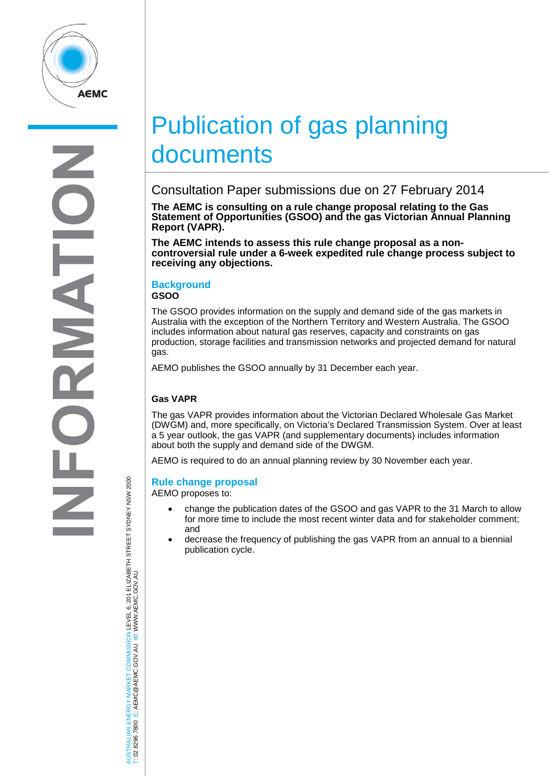

# Publication of gas planning documents

# Consultation Paper submissions due on 27 February 2014

**The AEMC is consulting on a rule change proposal relating to the Gas Statement of Opportunities (GSOO) and the gas Victorian Annual Planning Report (VAPR).** 

**The AEMC intends to assess this rule change proposal as a non- controversial rule under a 6-week expedited rule change process subject to receiving any objections.**

## **Background**

**GSOO**

The GSOO provides information on the supply and demand side of the gas markets in Australia with the exception of the Northern Territory and Western Australia. The GSOO includes information about natural gas reserves, capacity and constraints on gas production, storage facilities and transmission networks and projected demand for natural gas.

AEMO publishes the GSOO annually by 31 December each year.

## **Gas VAPR**

The gas VAPR provides information about the Victorian Declared Wholesale Gas Market (DWGM) and, more specifically, on Victoria's Declared Transmission System. Over at least a 5 year outlook, the gas VAPR (and supplementary documents) includes information about both the supply and demand side of the DWGM.

AEMO is required to do an annual planning review by 30 November each year.

### **Rule change proposal**

AEMO proposes to:

- change the publication dates of the GSOO and gas VAPR to the 31 March to allow for more time to include the most recent winter data and for stakeholder comment; and
- decrease the frequency of publishing the gas VAPR from an annual to a biennial publication cycle.

AUSTRALIAN ENERGY MARKET COMMISSION LEVEL 6, 201 ELIZABETH STREET SYDNEY NSW 2000 TRALIAN ENERGY MARKET COMMISSION LEVEL 6, 201 ELIZABETH STREET SYDNEY NSW 2000<br>8296 7800 E: AEMC@AEMC.GOV.AU W: WWW.AEMC.GOV.AU W: WWW.AEMC.GOV.AU T: 02 8296 7800 E: AEMC@AEMC.GOV.AU **ISL**  $\overline{8}$